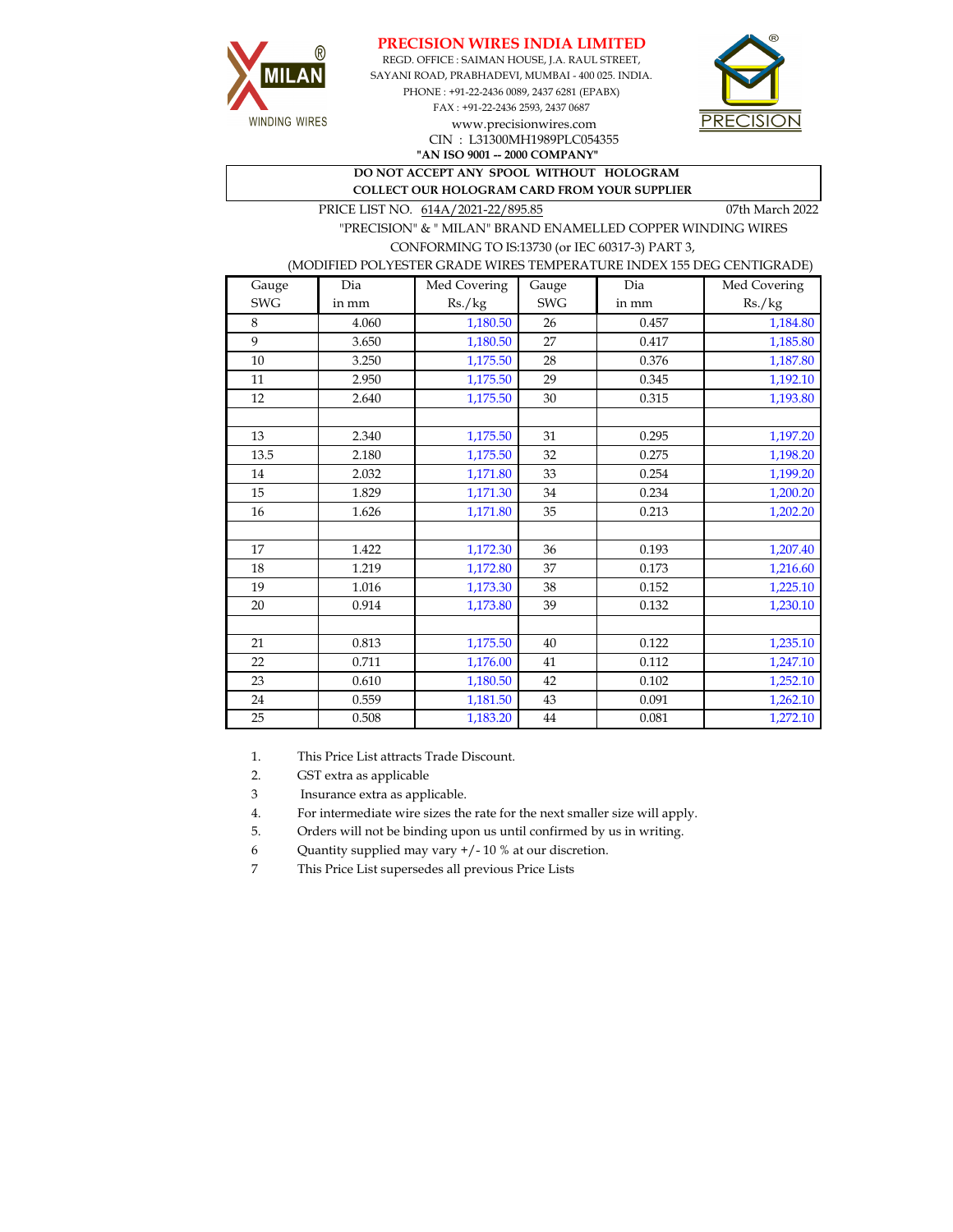





CIN : L31300MH1989PLC054355

**"AN ISO 9001 -- 2000 COMPANY"**

**DO NOT ACCEPT ANY SPOOL WITHOUT HOLOGRAM COLLECT OUR HOLOGRAM CARD FROM YOUR SUPPLIER** 

PRICE LIST NO.  $614A/2021-22/895.85$  07th March 2022

 "PRECISION" & " MILAN" BRAND ENAMELLED COPPER WINDING WIRES CONFORMING TO IS:13730 (or IEC 60317-3) PART 3,

## (MODIFIED POLYESTER GRADE WIRES TEMPERATURE INDEX 155 DEG CENTIGRADE)

| Gauge      | Dia   | Med Covering | Gauge      | Dia   | Med Covering |
|------------|-------|--------------|------------|-------|--------------|
| <b>SWG</b> | in mm | Rs./kg       | <b>SWG</b> | in mm | Rs./kg       |
| 8          | 4.060 | 1,180.50     | 26         | 0.457 | 1,184.80     |
| 9          | 3.650 | 1,180.50     | 27         | 0.417 | 1,185.80     |
| $10\,$     | 3.250 | 1,175.50     | 28         | 0.376 | 1,187.80     |
| 11         | 2.950 | 1,175.50     | 29         | 0.345 | 1,192.10     |
| 12         | 2.640 | 1,175.50     | 30         | 0.315 | 1,193.80     |
|            |       |              |            |       |              |
| 13         | 2.340 | 1,175.50     | 31         | 0.295 | 1,197.20     |
| 13.5       | 2.180 | 1,175.50     | 32         | 0.275 | 1,198.20     |
| 14         | 2.032 | 1,171.80     | 33         | 0.254 | 1,199.20     |
| 15         | 1.829 | 1,171.30     | 34         | 0.234 | 1,200.20     |
| 16         | 1.626 | 1,171.80     | 35         | 0.213 | 1,202.20     |
|            |       |              |            |       |              |
| 17         | 1.422 | 1,172.30     | 36         | 0.193 | 1,207.40     |
| 18         | 1.219 | 1,172.80     | 37         | 0.173 | 1,216.60     |
| 19         | 1.016 | 1,173.30     | 38         | 0.152 | 1,225.10     |
| 20         | 0.914 | 1,173.80     | 39         | 0.132 | 1,230.10     |
|            |       |              |            |       |              |
| 21         | 0.813 | 1,175.50     | 40         | 0.122 | 1,235.10     |
| 22         | 0.711 | 1,176.00     | 41         | 0.112 | 1,247.10     |
| 23         | 0.610 | 1,180.50     | 42         | 0.102 | 1,252.10     |
| 24         | 0.559 | 1,181.50     | 43         | 0.091 | 1,262.10     |
| 25         | 0.508 | 1,183.20     | 44         | 0.081 | 1,272.10     |

1. This Price List attracts Trade Discount.

2. GST extra as applicable

3 Insurance extra as applicable.

4. For intermediate wire sizes the rate for the next smaller size will apply.

5. Orders will not be binding upon us until confirmed by us in writing.

6 Quantity supplied may vary +/- 10 % at our discretion.

7 This Price List supersedes all previous Price Lists